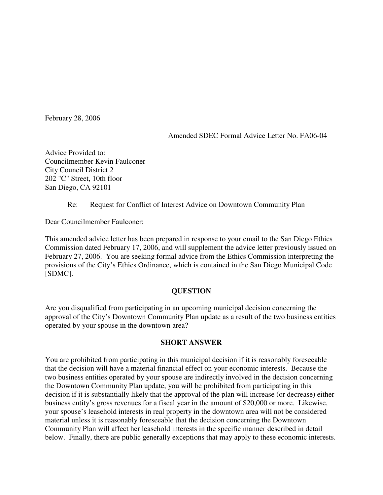February 28, 2006

Amended SDEC Formal Advice Letter No. FA06-04

Advice Provided to: Councilmember Kevin Faulconer City Council District 2 202 "C" Street, 10th floor San Diego, CA 92101

Re: Request for Conflict of Interest Advice on Downtown Community Plan

Dear Councilmember Faulconer:

This amended advice letter has been prepared in response to your email to the San Diego Ethics Commission dated February 17, 2006, and will supplement the advice letter previously issued on February 27, 2006. You are seeking formal advice from the Ethics Commission interpreting the provisions of the City's Ethics Ordinance, which is contained in the San Diego Municipal Code [SDMC].

# **QUESTION**

Are you disqualified from participating in an upcoming municipal decision concerning the approval of the City's Downtown Community Plan update as a result of the two business entities operated by your spouse in the downtown area?

### **SHORT ANSWER**

You are prohibited from participating in this municipal decision if it is reasonably foreseeable that the decision will have a material financial effect on your economic interests. Because the two business entities operated by your spouse are indirectly involved in the decision concerning the Downtown Community Plan update, you will be prohibited from participating in this decision if it is substantially likely that the approval of the plan will increase (or decrease) either business entity's gross revenues for a fiscal year in the amount of \$20,000 or more. Likewise, your spouse's leasehold interests in real property in the downtown area will not be considered material unless it is reasonably foreseeable that the decision concerning the Downtown Community Plan will affect her leasehold interests in the specific manner described in detail below. Finally, there are public generally exceptions that may apply to these economic interests.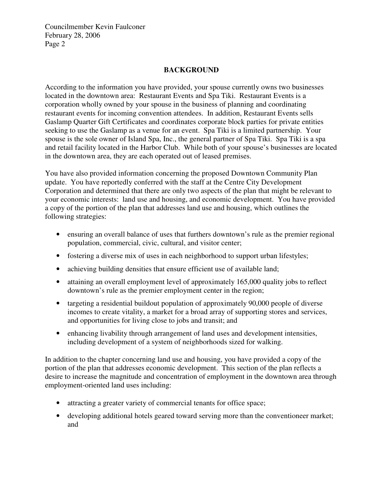# **BACKGROUND**

According to the information you have provided, your spouse currently owns two businesses located in the downtown area: Restaurant Events and Spa Tiki. Restaurant Events is a corporation wholly owned by your spouse in the business of planning and coordinating restaurant events for incoming convention attendees. In addition, Restaurant Events sells Gaslamp Quarter Gift Certificates and coordinates corporate block parties for private entities seeking to use the Gaslamp as a venue for an event. Spa Tiki is a limited partnership. Your spouse is the sole owner of Island Spa, Inc., the general partner of Spa Tiki. Spa Tiki is a spa and retail facility located in the Harbor Club. While both of your spouse's businesses are located in the downtown area, they are each operated out of leased premises.

You have also provided information concerning the proposed Downtown Community Plan update. You have reportedly conferred with the staff at the Centre City Development Corporation and determined that there are only two aspects of the plan that might be relevant to your economic interests: land use and housing, and economic development. You have provided a copy of the portion of the plan that addresses land use and housing, which outlines the following strategies:

- ensuring an overall balance of uses that furthers downtown's rule as the premier regional population, commercial, civic, cultural, and visitor center;
- fostering a diverse mix of uses in each neighborhood to support urban lifestyles;
- achieving building densities that ensure efficient use of available land;
- attaining an overall employment level of approximately 165,000 quality jobs to reflect downtown's rule as the premier employment center in the region;
- targeting a residential buildout population of approximately 90,000 people of diverse incomes to create vitality, a market for a broad array of supporting stores and services, and opportunities for living close to jobs and transit; and
- enhancing livability through arrangement of land uses and development intensities, including development of a system of neighborhoods sized for walking.

In addition to the chapter concerning land use and housing, you have provided a copy of the portion of the plan that addresses economic development. This section of the plan reflects a desire to increase the magnitude and concentration of employment in the downtown area through employment-oriented land uses including:

- attracting a greater variety of commercial tenants for office space;
- developing additional hotels geared toward serving more than the conventioneer market: and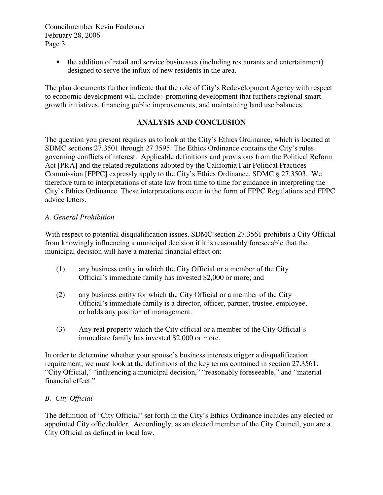> • the addition of retail and service businesses (including restaurants and entertainment) designed to serve the influx of new residents in the area.

The plan documents further indicate that the role of City's Redevelopment Agency with respect to economic development will include: promoting development that furthers regional smart growth initiatives, financing public improvements, and maintaining land use balances.

# **ANALYSIS AND CONCLUSION**

The question you present requires us to look at the City's Ethics Ordinance, which is located at SDMC sections 27.3501 through 27.3595. The Ethics Ordinance contains the City's rules governing conflicts of interest. Applicable definitions and provisions from the Political Reform Act [PRA] and the related regulations adopted by the California Fair Political Practices Commission [FPPC] expressly apply to the City's Ethics Ordinance. SDMC § 27.3503. We therefore turn to interpretations of state law from time to time for guidance in interpreting the City's Ethics Ordinance. These interpretations occur in the form of FPPC Regulations and FPPC advice letters.

### *A. General Prohibition*

With respect to potential disqualification issues, SDMC section 27.3561 prohibits a City Official from knowingly influencing a municipal decision if it is reasonably foreseeable that the municipal decision will have a material financial effect on:

- (1) any business entity in which the City Official or a member of the City Official's immediate family has invested \$2,000 or more; and
- (2) any business entity for which the City Official or a member of the City Official's immediate family is a director, officer, partner, trustee, employee, or holds any position of management.
- (3) Any real property which the City official or a member of the City Official's immediate family has invested \$2,000 or more.

In order to determine whether your spouse's business interests trigger a disqualification requirement, we must look at the definitions of the key terms contained in section 27.3561: "City Official," "influencing a municipal decision," "reasonably foreseeable," and "material financial effect."

### *B. City Official*

The definition of "City Official" set forth in the City's Ethics Ordinance includes any elected or appointed City officeholder. Accordingly, as an elected member of the City Council, you are a City Official as defined in local law.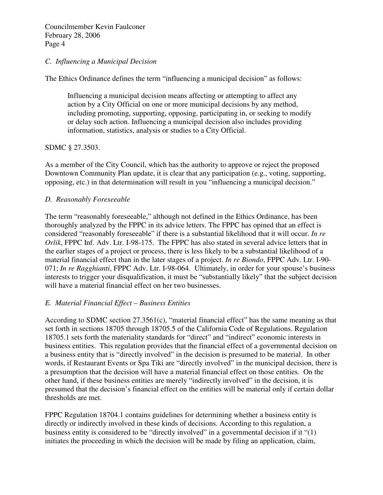## *C. Influencing a Municipal Decision*

The Ethics Ordinance defines the term "influencing a municipal decision" as follows:

Influencing a municipal decision means affecting or attempting to affect any action by a City Official on one or more municipal decisions by any method, including promoting, supporting, opposing, participating in, or seeking to modify or delay such action. Influencing a municipal decision also includes providing information, statistics, analysis or studies to a City Official.

## SDMC § 27.3503.

As a member of the City Council, which has the authority to approve or reject the proposed Downtown Community Plan update, it is clear that any participation (e.g., voting, supporting, opposing, etc.) in that determination will result in you "influencing a municipal decision."

## *D. Reasonably Foreseeable*

The term "reasonably foreseeable," although not defined in the Ethics Ordinance, has been thoroughly analyzed by the FPPC in its advice letters. The FPPC has opined that an effect is considered "reasonably foreseeable" if there is a substantial likelihood that it will occur. *In re Orlik*, FPPC Inf. Adv. Ltr. I-98-175. The FPPC has also stated in several advice letters that in the earlier stages of a project or process, there is less likely to be a substantial likelihood of a material financial effect than in the later stages of a project. *In re Biondo*, FPPC Adv. Ltr. I-90- 071; *In re Ragghianti*, FPPC Adv. Ltr. I-98-064. Ultimately, in order for your spouse's business interests to trigger your disqualification, it must be "substantially likely" that the subject decision will have a material financial effect on her two businesses.

### *E. Material Financial Effect – Business Entities*

According to SDMC section 27.3561(c), "material financial effect" has the same meaning as that set forth in sections 18705 through 18705.5 of the California Code of Regulations. Regulation 18705.1 sets forth the materiality standards for "direct" and "indirect" economic interests in business entities. This regulation provides that the financial effect of a governmental decision on a business entity that is "directly involved" in the decision is presumed to be material. In other words, if Restaurant Events or Spa Tiki are "directly involved" in the municipal decision, there is a presumption that the decision will have a material financial effect on those entities. On the other hand, if these business entities are merely "indirectly involved" in the decision, it is presumed that the decision's financial effect on the entities will be material only if certain dollar thresholds are met.

FPPC Regulation 18704.1 contains guidelines for determining whether a business entity is directly or indirectly involved in these kinds of decisions. According to this regulation, a business entity is considered to be "directly involved" in a governmental decision if it "(1) initiates the proceeding in which the decision will be made by filing an application, claim,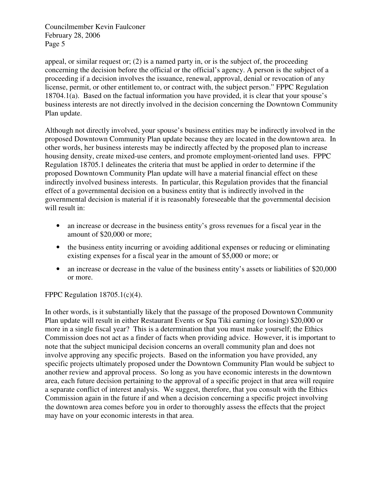appeal, or similar request or;  $(2)$  is a named party in, or is the subject of, the proceeding concerning the decision before the official or the official's agency. A person is the subject of a proceeding if a decision involves the issuance, renewal, approval, denial or revocation of any license, permit, or other entitlement to, or contract with, the subject person." FPPC Regulation 18704.1(a). Based on the factual information you have provided, it is clear that your spouse's business interests are not directly involved in the decision concerning the Downtown Community Plan update.

Although not directly involved, your spouse's business entities may be indirectly involved in the proposed Downtown Community Plan update because they are located in the downtown area. In other words, her business interests may be indirectly affected by the proposed plan to increase housing density, create mixed-use centers, and promote employment-oriented land uses. FPPC Regulation 18705.1 delineates the criteria that must be applied in order to determine if the proposed Downtown Community Plan update will have a material financial effect on these indirectly involved business interests. In particular, this Regulation provides that the financial effect of a governmental decision on a business entity that is indirectly involved in the governmental decision is material if it is reasonably foreseeable that the governmental decision will result in:

- an increase or decrease in the business entity's gross revenues for a fiscal year in the amount of \$20,000 or more;
- the business entity incurring or avoiding additional expenses or reducing or eliminating existing expenses for a fiscal year in the amount of \$5,000 or more; or
- an increase or decrease in the value of the business entity's assets or liabilities of \$20,000 or more.

# FPPC Regulation 18705.1(c)(4).

In other words, is it substantially likely that the passage of the proposed Downtown Community Plan update will result in either Restaurant Events or Spa Tiki earning (or losing) \$20,000 or more in a single fiscal year? This is a determination that you must make yourself; the Ethics Commission does not act as a finder of facts when providing advice. However, it is important to note that the subject municipal decision concerns an overall community plan and does not involve approving any specific projects. Based on the information you have provided, any specific projects ultimately proposed under the Downtown Community Plan would be subject to another review and approval process. So long as you have economic interests in the downtown area, each future decision pertaining to the approval of a specific project in that area will require a separate conflict of interest analysis. We suggest, therefore, that you consult with the Ethics Commission again in the future if and when a decision concerning a specific project involving the downtown area comes before you in order to thoroughly assess the effects that the project may have on your economic interests in that area.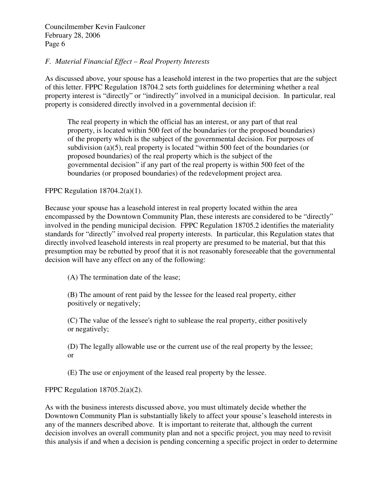## *F. Material Financial Effect – Real Property Interests*

As discussed above, your spouse has a leasehold interest in the two properties that are the subject of this letter. FPPC Regulation 18704.2 sets forth guidelines for determining whether a real property interest is "directly" or "indirectly" involved in a municipal decision. In particular, real property is considered directly involved in a governmental decision if:

The real property in which the official has an interest, or any part of that real property, is located within 500 feet of the boundaries (or the proposed boundaries) of the property which is the subject of the governmental decision. For purposes of subdivision (a)(5), real property is located "within 500 feet of the boundaries (or proposed boundaries) of the real property which is the subject of the governmental decision" if any part of the real property is within 500 feet of the boundaries (or proposed boundaries) of the redevelopment project area.

FPPC Regulation  $18704.2(a)(1)$ .

Because your spouse has a leasehold interest in real property located within the area encompassed by the Downtown Community Plan, these interests are considered to be "directly" involved in the pending municipal decision. FPPC Regulation 18705.2 identifies the materiality standards for "directly" involved real property interests. In particular, this Regulation states that directly involved leasehold interests in real property are presumed to be material, but that this presumption may be rebutted by proof that it is not reasonably foreseeable that the governmental decision will have any effect on any of the following:

(A) The termination date of the lease;

(B) The amount of rent paid by the lessee for the leased real property, either positively or negatively;

(C) The value of the lessee's right to sublease the real property, either positively or negatively;

(D) The legally allowable use or the current use of the real property by the lessee; or

(E) The use or enjoyment of the leased real property by the lessee.

FPPC Regulation 18705.2(a)(2).

As with the business interests discussed above, you must ultimately decide whether the Downtown Community Plan is substantially likely to affect your spouse's leasehold interests in any of the manners described above. It is important to reiterate that, although the current decision involves an overall community plan and not a specific project, you may need to revisit this analysis if and when a decision is pending concerning a specific project in order to determine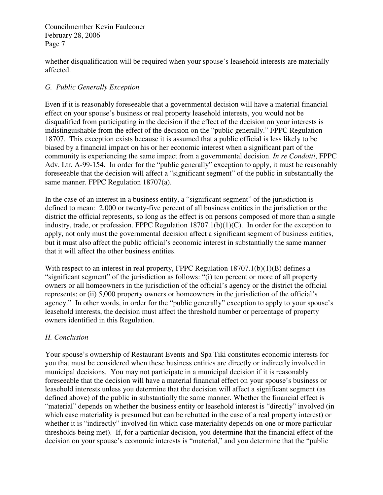whether disqualification will be required when your spouse's leasehold interests are materially affected.

# *G. Public Generally Exception*

Even if it is reasonably foreseeable that a governmental decision will have a material financial effect on your spouse's business or real property leasehold interests, you would not be disqualified from participating in the decision if the effect of the decision on your interests is indistinguishable from the effect of the decision on the "public generally." FPPC Regulation 18707. This exception exists because it is assumed that a public official is less likely to be biased by a financial impact on his or her economic interest when a significant part of the community is experiencing the same impact from a governmental decision. *In re Condotti*, FPPC Adv. Ltr. A-99-154. In order for the "public generally" exception to apply, it must be reasonably foreseeable that the decision will affect a "significant segment" of the public in substantially the same manner. FPPC Regulation 18707(a).

In the case of an interest in a business entity, a "significant segment" of the jurisdiction is defined to mean: 2,000 or twenty-five percent of all business entities in the jurisdiction or the district the official represents, so long as the effect is on persons composed of more than a single industry, trade, or profession. FPPC Regulation 18707.1(b)(1)(C). In order for the exception to apply, not only must the governmental decision affect a significant segment of business entities, but it must also affect the public official's economic interest in substantially the same manner that it will affect the other business entities.

With respect to an interest in real property, FPPC Regulation  $18707.1(b)(1)(B)$  defines a "significant segment" of the jurisdiction as follows: "(i) ten percent or more of all property owners or all homeowners in the jurisdiction of the official's agency or the district the official represents; or (ii) 5,000 property owners or homeowners in the jurisdiction of the official's agency." In other words, in order for the "public generally" exception to apply to your spouse's leasehold interests, the decision must affect the threshold number or percentage of property owners identified in this Regulation.

# *H. Conclusion*

Your spouse's ownership of Restaurant Events and Spa Tiki constitutes economic interests for you that must be considered when these business entities are directly or indirectly involved in municipal decisions. You may not participate in a municipal decision if it is reasonably foreseeable that the decision will have a material financial effect on your spouse's business or leasehold interests unless you determine that the decision will affect a significant segment (as defined above) of the public in substantially the same manner. Whether the financial effect is "material" depends on whether the business entity or leasehold interest is "directly" involved (in which case materiality is presumed but can be rebutted in the case of a real property interest) or whether it is "indirectly" involved (in which case materiality depends on one or more particular thresholds being met). If, for a particular decision, you determine that the financial effect of the decision on your spouse's economic interests is "material," and you determine that the "public